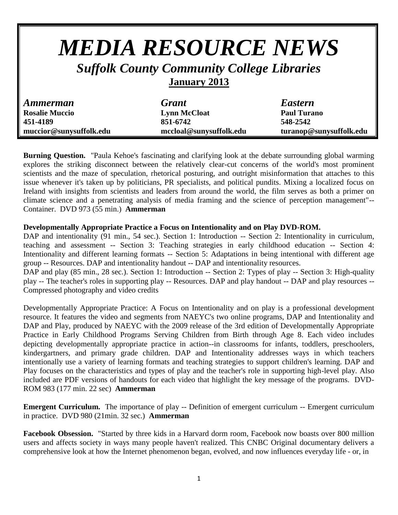## *MEDIA RESOURCE NEWS Suffolk County Community College Libraries*

## **January 2013**

| <b>Ammerman</b>         | <b>Grant</b>            | <b>Eastern</b>          |
|-------------------------|-------------------------|-------------------------|
| <b>Rosalie Muccio</b>   | <b>Lynn McCloat</b>     | <b>Paul Turano</b>      |
| 451-4189                | 851-6742                | 548-2542                |
| muccior@sunysuffolk.edu | mccloal@sunysuffolk.edu | turanop@sunysuffolk.edu |

**Burning Question.** "Paula Kehoe's fascinating and clarifying look at the debate surrounding global warming explores the striking disconnect between the relatively clear-cut concerns of the world's most prominent scientists and the maze of speculation, rhetorical posturing, and outright misinformation that attaches to this issue whenever it's taken up by politicians, PR specialists, and political pundits. Mixing a localized focus on Ireland with insights from scientists and leaders from around the world, the film serves as both a primer on climate science and a penetrating analysis of media framing and the science of perception management"-- Container. DVD 973 (55 min.) **Ammerman**

## **Developmentally Appropriate Practice a Focus on Intentionality and on Play DVD-ROM.**

DAP and intentionality (91 min., 54 sec.). Section 1: Introduction -- Section 2: Intentionality in curriculum, teaching and assessment -- Section 3: Teaching strategies in early childhood education -- Section 4: Intentionality and different learning formats -- Section 5: Adaptations in being intentional with different age group -- Resources. DAP and intentionality handout -- DAP and intentionality resources.

DAP and play (85 min., 28 sec.). Section 1: Introduction -- Section 2: Types of play -- Section 3: High-quality play -- The teacher's roles in supporting play -- Resources. DAP and play handout -- DAP and play resources -- Compressed photography and video credits

Developmentally Appropriate Practice: A Focus on Intentionality and on play is a professional development resource. It features the video and segments from NAEYC's two online programs, DAP and Intentionality and DAP and Play, produced by NAEYC with the 2009 release of the 3rd edition of Developmentally Appropriate Practice in Early Childhood Programs Serving Children from Birth through Age 8. Each video includes depicting developmentally appropriate practice in action--in classrooms for infants, toddlers, preschoolers, kindergartners, and primary grade children. DAP and Intentionality addresses ways in which teachers intentionally use a variety of learning formats and teaching strategies to support children's learning. DAP and Play focuses on the characteristics and types of play and the teacher's role in supporting high-level play. Also included are PDF versions of handouts for each video that highlight the key message of the programs. DVD-ROM 983 (177 min. 22 sec) **Ammerman**

**Emergent Curriculum.** The importance of play -- Definition of emergent curriculum -- Emergent curriculum in practice. DVD 980 (21min. 32 sec.) **Ammerman**

**Facebook Obsession.** "Started by three kids in a Harvard dorm room, Facebook now boasts over 800 million users and affects society in ways many people haven't realized. This CNBC Original documentary delivers a comprehensive look at how the Internet phenomenon began, evolved, and now influences everyday life - or, in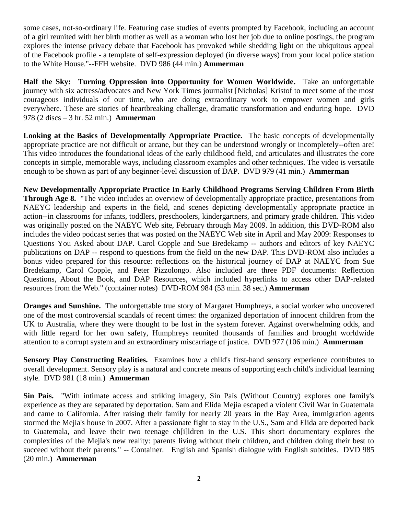some cases, not-so-ordinary life. Featuring case studies of events prompted by Facebook, including an account of a girl reunited with her birth mother as well as a woman who lost her job due to online postings, the program explores the intense privacy debate that Facebook has provoked while shedding light on the ubiquitous appeal of the Facebook profile - a template of self-expression deployed (in diverse ways) from your local police station to the White House."--FFH website. DVD 986 (44 min.) **Ammerman**

**Half the Sky: Turning Oppression into Opportunity for Women Worldwide.** Take an unforgettable journey with six actress/advocates and New York Times journalist [Nicholas] Kristof to meet some of the most courageous individuals of our time, who are doing extraordinary work to empower women and girls everywhere. These are stories of heartbreaking challenge, dramatic transformation and enduring hope. DVD 978 (2 discs – 3 hr. 52 min.) **Ammerman**

**Looking at the Basics of Developmentally Appropriate Practice.** The basic concepts of developmentally appropriate practice are not difficult or arcane, but they can be understood wrongly or incompletely--often are! This video introduces the foundational ideas of the early childhood field, and articulates and illustrates the core concepts in simple, memorable ways, including classroom examples and other techniques. The video is versatile enough to be shown as part of any beginner-level discussion of DAP. DVD 979 (41 min.) **Ammerman**

**New Developmentally Appropriate Practice In Early Childhood Programs Serving Children From Birth Through Age 8.** "The video includes an overview of developmentally appropriate practice, presentations from NAEYC leadership and experts in the field, and scenes depicting developmentally appropriate practice in action--in classrooms for infants, toddlers, preschoolers, kindergartners, and primary grade children. This video was originally posted on the NAEYC Web site, February through May 2009. In addition, this DVD-ROM also includes the video podcast series that was posted on the NAEYC Web site in April and May 2009: Responses to Questions You Asked about DAP. Carol Copple and Sue Bredekamp -- authors and editors of key NAEYC publications on DAP -- respond to questions from the field on the new DAP. This DVD-ROM also includes a bonus video prepared for this resource: reflections on the historical journey of DAP at NAEYC from Sue Bredekamp, Carol Copple, and Peter Pizzolongo. Also included are three PDF documents: Reflection Questions, About the Book, and DAP Resources, which included hyperlinks to access other DAP-related resources from the Web." (container notes) DVD-ROM 984 (53 min. 38 sec.) **Ammerman**

**Oranges and Sunshine.** The unforgettable true story of Margaret Humphreys, a social worker who uncovered one of the most controversial scandals of recent times: the organized deportation of innocent children from the UK to Australia, where they were thought to be lost in the system forever. Against overwhelming odds, and with little regard for her own safety, Humphreys reunited thousands of families and brought worldwide attention to a corrupt system and an extraordinary miscarriage of justice. DVD 977 (106 min.) **Ammerman**

**Sensory Play Constructing Realities.** Examines how a child's first-hand sensory experience contributes to overall development. Sensory play is a natural and concrete means of supporting each child's individual learning style. DVD 981 (18 min.) **Ammerman**

**Sin País.** "With intimate access and striking imagery, Sin País (Without Country) explores one family's experience as they are separated by deportation. Sam and Elida Mejia escaped a violent Civil War in Guatemala and came to California. After raising their family for nearly 20 years in the Bay Area, immigration agents stormed the Mejia's house in 2007. After a passionate fight to stay in the U.S., Sam and Elida are deported back to Guatemala, and leave their two teenage ch[i]ldren in the U.S. This short documentary explores the complexities of the Mejia's new reality: parents living without their children, and children doing their best to succeed without their parents." -- Container. English and Spanish dialogue with English subtitles. DVD 985 (20 min.) **Ammerman**